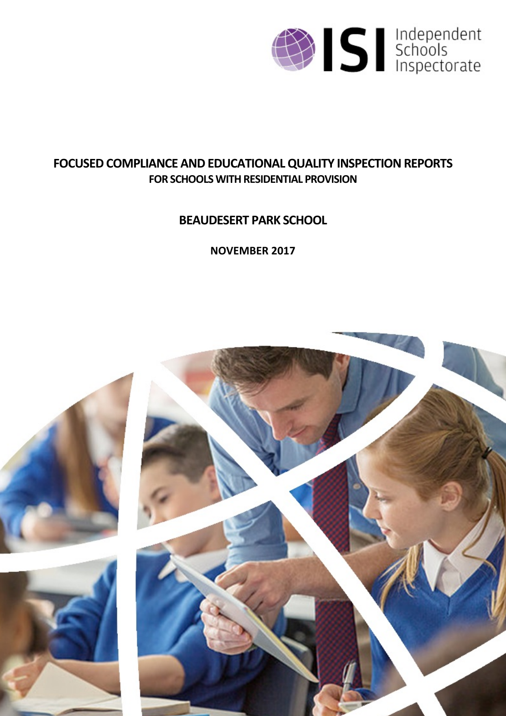

# **FOCUSED COMPLIANCE AND EDUCATIONALQUALITY INSPECTIONREPORTS FOR SCHOOLS WITH RESIDENTIAL PROVISION**

# **BEAUDESERT PARK SCHOOL**

**NOVEMBER 2017**

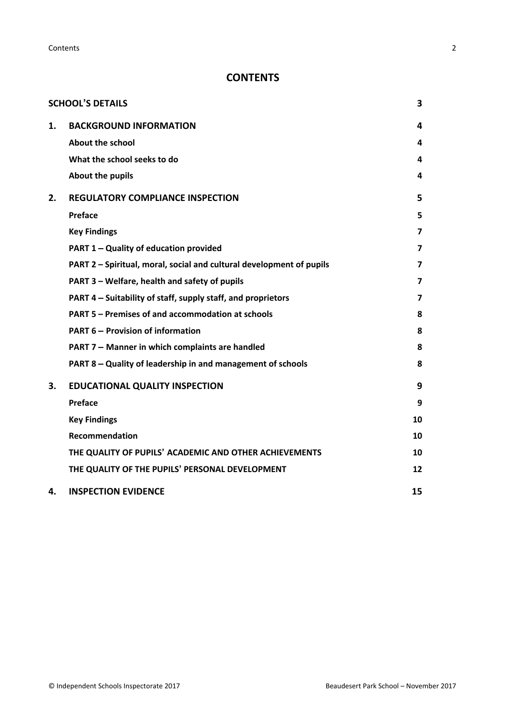**Contents** 2

# **CONTENTS**

|    | <b>SCHOOL'S DETAILS</b>                                              | 3              |
|----|----------------------------------------------------------------------|----------------|
| 1. | <b>BACKGROUND INFORMATION</b>                                        | 4              |
|    | <b>About the school</b>                                              | 4              |
|    | What the school seeks to do                                          | 4              |
|    | About the pupils                                                     | 4              |
| 2. | <b>REGULATORY COMPLIANCE INSPECTION</b>                              | 5              |
|    | Preface                                                              | 5              |
|    | <b>Key Findings</b>                                                  | 7              |
|    | PART 1 - Quality of education provided                               | $\overline{7}$ |
|    | PART 2 - Spiritual, moral, social and cultural development of pupils | 7              |
|    | PART 3 - Welfare, health and safety of pupils                        | $\overline{7}$ |
|    | PART 4 - Suitability of staff, supply staff, and proprietors         | 7              |
|    | PART 5 - Premises of and accommodation at schools                    | 8              |
|    | <b>PART 6 - Provision of information</b>                             | 8              |
|    | PART 7 - Manner in which complaints are handled                      | 8              |
|    | PART 8 - Quality of leadership in and management of schools          | 8              |
| 3. | <b>EDUCATIONAL QUALITY INSPECTION</b>                                | 9              |
|    | <b>Preface</b>                                                       | 9              |
|    | <b>Key Findings</b>                                                  | 10             |
|    | Recommendation                                                       | 10             |
|    | THE QUALITY OF PUPILS' ACADEMIC AND OTHER ACHIEVEMENTS               | 10             |
|    | THE QUALITY OF THE PUPILS' PERSONAL DEVELOPMENT                      | 12             |
| 4. | <b>INSPECTION EVIDENCE</b>                                           | 15             |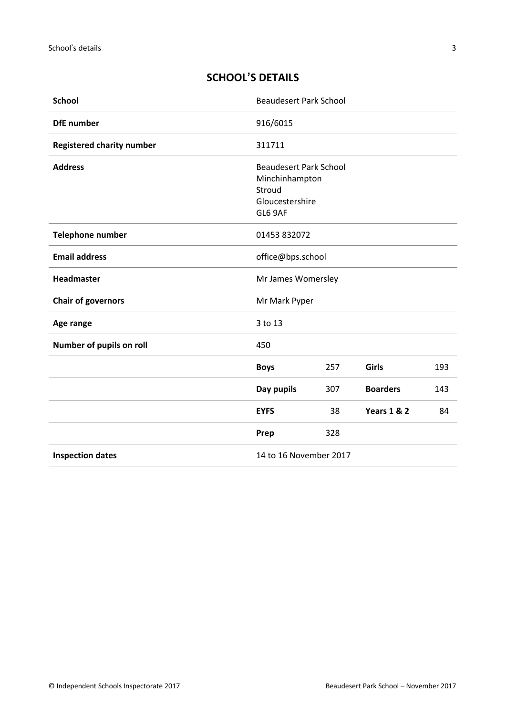# <span id="page-2-0"></span>**SCHOOL'S DETAILS**

| <b>School</b>                    | <b>Beaudesert Park School</b>                                                           |     |                        |     |
|----------------------------------|-----------------------------------------------------------------------------------------|-----|------------------------|-----|
| <b>DfE</b> number                | 916/6015                                                                                |     |                        |     |
| <b>Registered charity number</b> | 311711                                                                                  |     |                        |     |
| <b>Address</b>                   | <b>Beaudesert Park School</b><br>Minchinhampton<br>Stroud<br>Gloucestershire<br>GL6 9AF |     |                        |     |
| Telephone number                 | 01453 832072                                                                            |     |                        |     |
| <b>Email address</b>             | office@bps.school                                                                       |     |                        |     |
| Headmaster                       | Mr James Womersley                                                                      |     |                        |     |
| <b>Chair of governors</b>        | Mr Mark Pyper                                                                           |     |                        |     |
| Age range                        | 3 to 13                                                                                 |     |                        |     |
| Number of pupils on roll         | 450                                                                                     |     |                        |     |
|                                  | <b>Boys</b>                                                                             | 257 | Girls                  | 193 |
|                                  | Day pupils                                                                              | 307 | <b>Boarders</b>        | 143 |
|                                  | <b>EYFS</b>                                                                             | 38  | <b>Years 1 &amp; 2</b> | 84  |
|                                  | Prep                                                                                    | 328 |                        |     |
| <b>Inspection dates</b>          | 14 to 16 November 2017                                                                  |     |                        |     |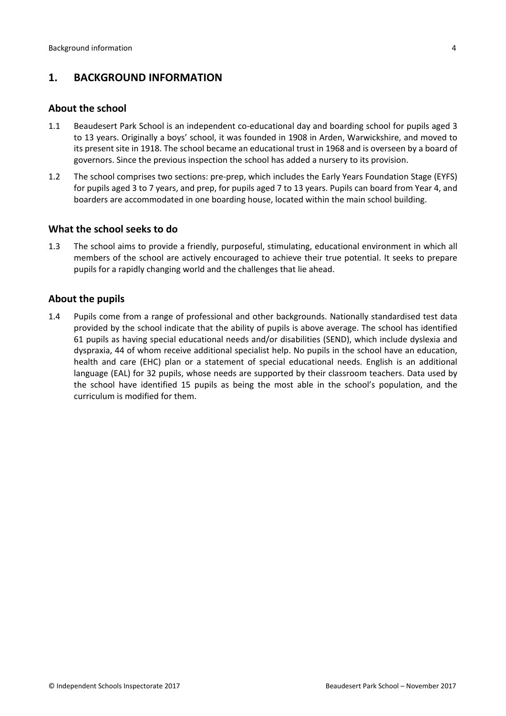## <span id="page-3-0"></span>**1. BACKGROUND INFORMATION**

#### <span id="page-3-1"></span>**About the school**

- 1.1 Beaudesert Park School is an independent co-educational day and boarding school for pupils aged 3 to 13 years. Originally a boys' school, it was founded in 1908 in Arden, Warwickshire, and moved to its present site in 1918. The school became an educational trust in 1968 and is overseen by a board of governors. Since the previous inspection the school has added a nursery to its provision.
- 1.2 The school comprises two sections: pre-prep, which includes the Early Years Foundation Stage (EYFS) for pupils aged 3 to 7 years, and prep, for pupils aged 7 to 13 years. Pupils can board from Year 4, and boarders are accommodated in one boarding house, located within the main school building.

#### <span id="page-3-2"></span>**What the school seeks to do**

1.3 The school aims to provide a friendly, purposeful, stimulating, educational environment in which all members of the school are actively encouraged to achieve their true potential. It seeks to prepare pupils for a rapidly changing world and the challenges that lie ahead.

#### <span id="page-3-3"></span>**About the pupils**

1.4 Pupils come from a range of professional and other backgrounds. Nationally standardised test data provided by the school indicate that the ability of pupils is above average. The school has identified 61 pupils as having special educational needs and/or disabilities (SEND), which include dyslexia and dyspraxia, 44 of whom receive additional specialist help. No pupils in the school have an education, health and care (EHC) plan or a statement of special educational needs. English is an additional language (EAL) for 32 pupils, whose needs are supported by their classroom teachers. Data used by the school have identified 15 pupils as being the most able in the school's population, and the curriculum is modified for them.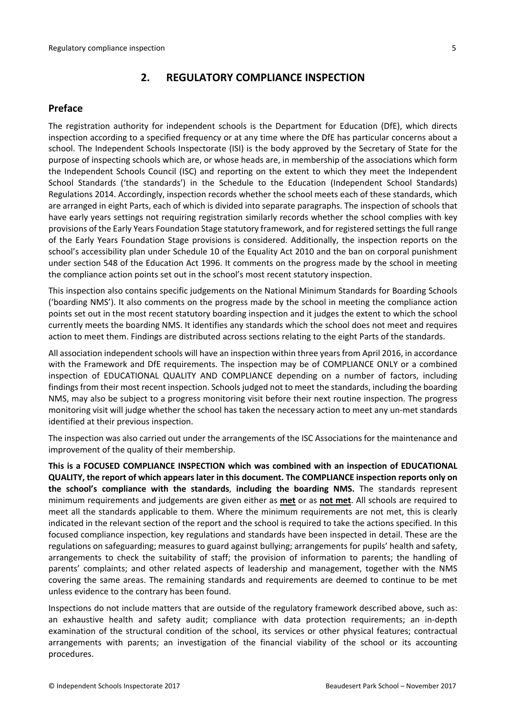## <span id="page-4-0"></span>**2. REGULATORY COMPLIANCE INSPECTION**

## <span id="page-4-1"></span>**Preface**

The registration authority for independent schools is the Department for Education (DfE), which directs inspection according to a specified frequency or at any time where the DfE has particular concerns about a school. The Independent Schools Inspectorate (ISI) is the body approved by the Secretary of State for the purpose of inspecting schools which are, or whose heads are, in membership of the associations which form the Independent Schools Council (ISC) and reporting on the extent to which they meet the Independent School Standards ('the standards') in the Schedule to the Education (Independent School Standards) Regulations 2014. Accordingly, inspection records whether the school meets each of these standards, which are arranged in eight Parts, each of which is divided into separate paragraphs. The inspection of schools that have early years settings not requiring registration similarly records whether the school complies with key provisions of the Early Years Foundation Stage statutory framework, and for registered settings the full range of the Early Years Foundation Stage provisions is considered. Additionally, the inspection reports on the school's accessibility plan under Schedule 10 of the Equality Act 2010 and the ban on corporal punishment under section 548 of the Education Act 1996. It comments on the progress made by the school in meeting the compliance action points set out in the school's most recent statutory inspection.

This inspection also contains specific judgements on the National Minimum Standards for Boarding Schools ('boarding NMS'). It also comments on the progress made by the school in meeting the compliance action points set out in the most recent statutory boarding inspection and it judges the extent to which the school currently meets the boarding NMS. It identifies any standards which the school does not meet and requires action to meet them. Findings are distributed across sections relating to the eight Parts of the standards.

All association independent schools will have an inspection within three yearsfrom April 2016, in accordance with the Framework and DfE requirements. The inspection may be of COMPLIANCE ONLY or a combined inspection of EDUCATIONAL QUALITY AND COMPLIANCE depending on a number of factors, including findings from their most recent inspection. Schools judged not to meet the standards, including the boarding NMS, may also be subject to a progress monitoring visit before their next routine inspection. The progress monitoring visit will judge whether the school has taken the necessary action to meet any un-met standards identified at their previous inspection.

The inspection was also carried out under the arrangements of the ISC Associations for the maintenance and improvement of the quality of their membership.

**This is a FOCUSED COMPLIANCE INSPECTION which was combined with an inspection of EDUCATIONAL QUALITY, the report of which appears later in this document. The COMPLIANCE inspection reports only on the school's compliance with the standards**, **including the boarding NMS.** The standards represent minimum requirements and judgements are given either as **met** or as **not met**. All schools are required to meet all the standards applicable to them. Where the minimum requirements are not met, this is clearly indicated in the relevant section of the report and the school is required to take the actions specified. In this focused compliance inspection, key regulations and standards have been inspected in detail. These are the regulations on safeguarding; measures to guard against bullying; arrangements for pupils' health and safety, arrangements to check the suitability of staff; the provision of information to parents; the handling of parents' complaints; and other related aspects of leadership and management, together with the NMS covering the same areas. The remaining standards and requirements are deemed to continue to be met unless evidence to the contrary has been found.

Inspections do not include matters that are outside of the regulatory framework described above, such as: an exhaustive health and safety audit; compliance with data protection requirements; an in-depth examination of the structural condition of the school, its services or other physical features; contractual arrangements with parents; an investigation of the financial viability of the school or its accounting procedures.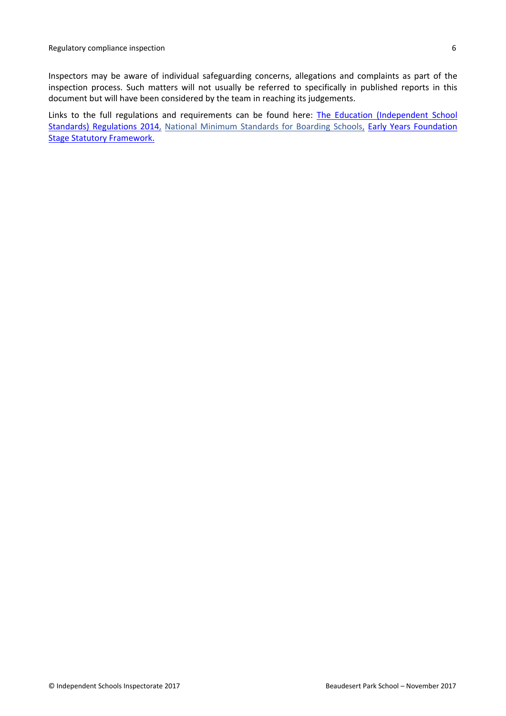Inspectors may be aware of individual safeguarding concerns, allegations and complaints as part of the inspection process. Such matters will not usually be referred to specifically in published reports in this document but will have been considered by the team in reaching its judgements.

Links to the full regulations and requirements can be found here: The Education [\(Independent](http://www.legislation.gov.uk/uksi/2014/3283/contents/made) School Standards) [Regulations](http://www.legislation.gov.uk/uksi/2014/3283/contents/made) 2014, National Minimum [Standards](https://www.gov.uk/government/uploads/system/uploads/attachment_data/file/416186/20150319_nms_bs_standards.pdf) for Boarding Schools, Early Years [Foundation](https://www.gov.uk/government/publications/early-years-foundation-stage-framework--2) Stage Statutory [Framework.](https://www.gov.uk/government/publications/early-years-foundation-stage-framework--2)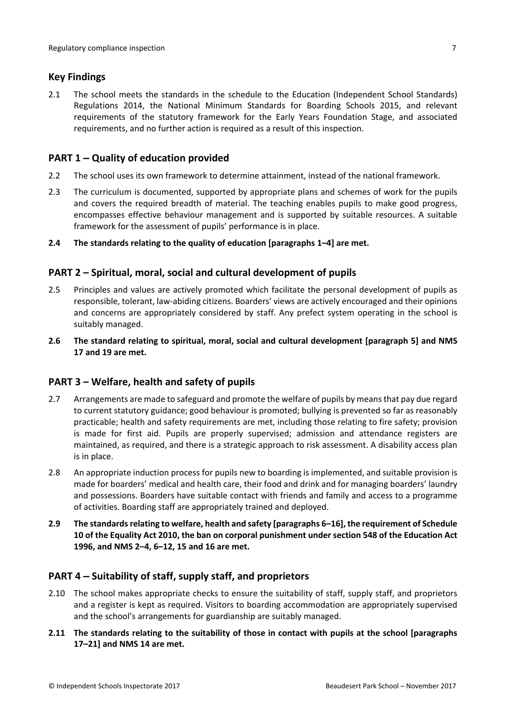## <span id="page-6-0"></span>**Key Findings**

2.1 The school meets the standards in the schedule to the Education (Independent School Standards) Regulations 2014, the National Minimum Standards for Boarding Schools 2015, and relevant requirements of the statutory framework for the Early Years Foundation Stage, and associated requirements, and no further action is required as a result of this inspection.

## <span id="page-6-1"></span>**PART 1 – Quality of education provided**

- 2.2 The school uses its own framework to determine attainment, instead of the national framework.
- 2.3 The curriculum is documented, supported by appropriate plans and schemes of work for the pupils and covers the required breadth of material. The teaching enables pupils to make good progress, encompasses effective behaviour management and is supported by suitable resources. A suitable framework for the assessment of pupils' performance is in place.
- **2.4 The standards relating to the quality of education [paragraphs 1–4] are met.**

## <span id="page-6-2"></span>**PART 2 – Spiritual, moral, social and cultural development of pupils**

- 2.5 Principles and values are actively promoted which facilitate the personal development of pupils as responsible, tolerant, law-abiding citizens. Boarders' views are actively encouraged and their opinions and concerns are appropriately considered by staff. Any prefect system operating in the school is suitably managed.
- **2.6 The standard relating to spiritual, moral, social and cultural development [paragraph 5] and NMS 17 and 19 are met.**

#### <span id="page-6-3"></span>**PART 3 – Welfare, health and safety of pupils**

- 2.7 Arrangements are made to safeguard and promote the welfare of pupils by means that pay due regard to current statutory guidance; good behaviour is promoted; bullying is prevented so far as reasonably practicable; health and safety requirements are met, including those relating to fire safety; provision is made for first aid. Pupils are properly supervised; admission and attendance registers are maintained, as required, and there is a strategic approach to risk assessment. A disability access plan is in place.
- 2.8 An appropriate induction process for pupils new to boarding is implemented, and suitable provision is made for boarders' medical and health care, their food and drink and for managing boarders' laundry and possessions. Boarders have suitable contact with friends and family and access to a programme of activities. Boarding staff are appropriately trained and deployed.
- **2.9 The standardsrelating to welfare, health and safety [paragraphs 6–16], the requirement of Schedule 10 of the Equality Act 2010, the ban on corporal punishment under section 548 of the Education Act 1996, and NMS 2–4, 6–12, 15 and 16 are met.**

#### <span id="page-6-4"></span>**PART 4 – Suitability of staff, supply staff, and proprietors**

- 2.10 The school makes appropriate checks to ensure the suitability of staff, supply staff, and proprietors and a register is kept as required. Visitors to boarding accommodation are appropriately supervised and the school's arrangements for guardianship are suitably managed.
- **2.11 The standards relating to the suitability of those in contact with pupils at the school [paragraphs 17–21] and NMS 14 are met.**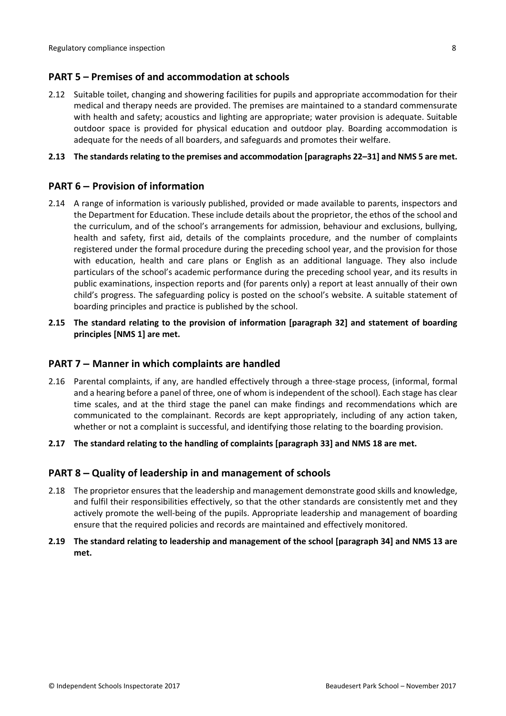## <span id="page-7-0"></span>**PART 5 – Premises of and accommodation at schools**

2.12 Suitable toilet, changing and showering facilities for pupils and appropriate accommodation for their medical and therapy needs are provided. The premises are maintained to a standard commensurate with health and safety; acoustics and lighting are appropriate; water provision is adequate. Suitable outdoor space is provided for physical education and outdoor play. Boarding accommodation is adequate for the needs of all boarders, and safeguards and promotes their welfare.

#### **2.13 The standardsrelating to the premises and accommodation [paragraphs 22–31] and NMS 5 are met.**

## <span id="page-7-1"></span>**PART 6 – Provision of information**

- 2.14 A range of information is variously published, provided or made available to parents, inspectors and the Department for Education. These include details about the proprietor, the ethos of the school and the curriculum, and of the school's arrangements for admission, behaviour and exclusions, bullying, health and safety, first aid, details of the complaints procedure, and the number of complaints registered under the formal procedure during the preceding school year, and the provision for those with education, health and care plans or English as an additional language. They also include particulars of the school's academic performance during the preceding school year, and its results in public examinations, inspection reports and (for parents only) a report at least annually of their own child's progress. The safeguarding policy is posted on the school's website. A suitable statement of boarding principles and practice is published by the school.
- **2.15 The standard relating to the provision of information [paragraph 32] and statement of boarding principles [NMS 1] are met.**

### <span id="page-7-2"></span>**PART 7 – Manner in which complaints are handled**

- 2.16 Parental complaints, if any, are handled effectively through a three-stage process, (informal, formal and a hearing before a panel of three, one of whom isindependent of the school). Each stage has clear time scales, and at the third stage the panel can make findings and recommendations which are communicated to the complainant. Records are kept appropriately, including of any action taken, whether or not a complaint is successful, and identifying those relating to the boarding provision.
- **2.17 The standard relating to the handling of complaints [paragraph 33] and NMS 18 are met.**

#### <span id="page-7-3"></span>**PART 8 – Quality of leadership in and management of schools**

- 2.18 The proprietor ensures that the leadership and management demonstrate good skills and knowledge, and fulfil their responsibilities effectively, so that the other standards are consistently met and they actively promote the well-being of the pupils. Appropriate leadership and management of boarding ensure that the required policies and records are maintained and effectively monitored.
- **2.19 The standard relating to leadership and management of the school [paragraph 34] and NMS 13 are met.**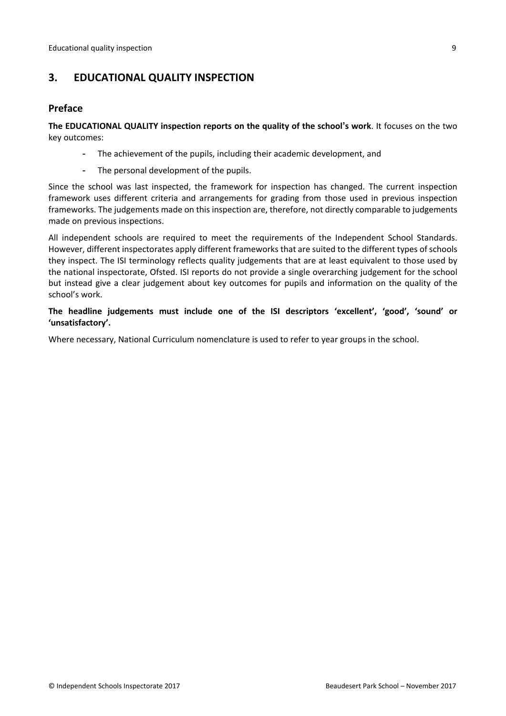## <span id="page-8-0"></span>**3. EDUCATIONAL QUALITY INSPECTION**

#### <span id="page-8-1"></span>**Preface**

**The EDUCATIONAL QUALITY inspection reports on the quality of the school's work**. It focuses on the two key outcomes:

- The achievement of the pupils, including their academic development, and
- The personal development of the pupils.

Since the school was last inspected, the framework for inspection has changed. The current inspection framework uses different criteria and arrangements for grading from those used in previous inspection frameworks. The judgements made on this inspection are, therefore, not directly comparable to judgements made on previous inspections.

All independent schools are required to meet the requirements of the Independent School Standards. However, different inspectorates apply different frameworks that are suited to the different types of schools they inspect. The ISI terminology reflects quality judgements that are at least equivalent to those used by the national inspectorate, Ofsted. ISI reports do not provide a single overarching judgement for the school but instead give a clear judgement about key outcomes for pupils and information on the quality of the school's work.

**The headline judgements must include one of the ISI descriptors 'excellent', 'good', 'sound' or 'unsatisfactory'.**

Where necessary, National Curriculum nomenclature is used to refer to year groups in the school.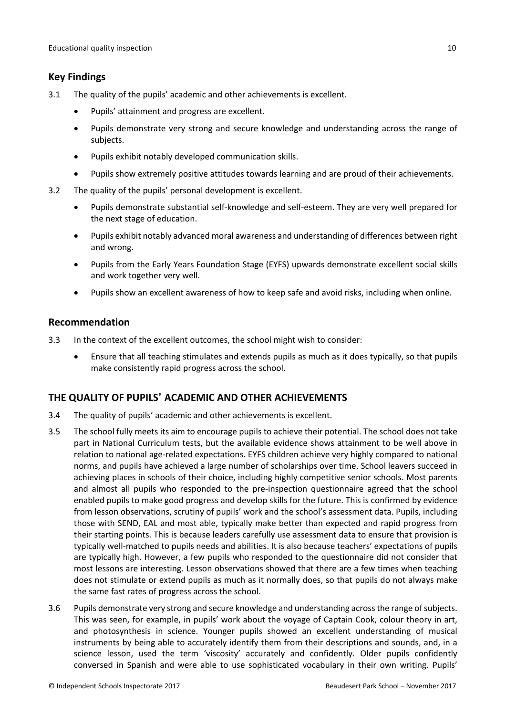#### <span id="page-9-0"></span>**Key Findings**

- 3.1 The quality of the pupils' academic and other achievements is excellent.
	- Pupils' attainment and progress are excellent.
	- Pupils demonstrate very strong and secure knowledge and understanding across the range of subjects.
	- Pupils exhibit notably developed communication skills.
	- Pupils show extremely positive attitudes towards learning and are proud of their achievements.
- 3.2 The quality of the pupils' personal development is excellent.
	- Pupils demonstrate substantial self-knowledge and self-esteem. They are very well prepared for the next stage of education.
	- Pupils exhibit notably advanced moral awareness and understanding of differences between right and wrong.
	- Pupils from the Early Years Foundation Stage (EYFS) upwards demonstrate excellent social skills and work together very well.
	- Pupils show an excellent awareness of how to keep safe and avoid risks, including when online.

#### <span id="page-9-1"></span>**Recommendation**

- 3.3 In the context of the excellent outcomes, the school might wish to consider:
	- Ensure that all teaching stimulates and extends pupils as much as it does typically, so that pupils make consistently rapid progress across the school.

#### <span id="page-9-2"></span>**THE QUALITY OF PUPILS' ACADEMIC AND OTHER ACHIEVEMENTS**

- 3.4 The quality of pupils' academic and other achievements is excellent.
- 3.5 The school fully meets its aim to encourage pupils to achieve their potential. The school does not take part in National Curriculum tests, but the available evidence shows attainment to be well above in relation to national age-related expectations. EYFS children achieve very highly compared to national norms, and pupils have achieved a large number of scholarships over time. School leavers succeed in achieving places in schools of their choice, including highly competitive senior schools. Most parents and almost all pupils who responded to the pre-inspection questionnaire agreed that the school enabled pupils to make good progress and develop skills for the future. This is confirmed by evidence from lesson observations, scrutiny of pupils' work and the school's assessment data. Pupils, including those with SEND, EAL and most able, typically make better than expected and rapid progress from their starting points. This is because leaders carefully use assessment data to ensure that provision is typically well-matched to pupils needs and abilities. It is also because teachers' expectations of pupils are typically high. However, a few pupils who responded to the questionnaire did not consider that most lessons are interesting. Lesson observations showed that there are a few times when teaching does not stimulate or extend pupils as much as it normally does, so that pupils do not always make the same fast rates of progress across the school.
- 3.6 Pupils demonstrate very strong and secure knowledge and understanding acrossthe range ofsubjects. This was seen, for example, in pupils' work about the voyage of Captain Cook, colour theory in art, and photosynthesis in science. Younger pupils showed an excellent understanding of musical instruments by being able to accurately identify them from their descriptions and sounds, and, in a science lesson, used the term 'viscosity' accurately and confidently. Older pupils confidently conversed in Spanish and were able to use sophisticated vocabulary in their own writing. Pupils'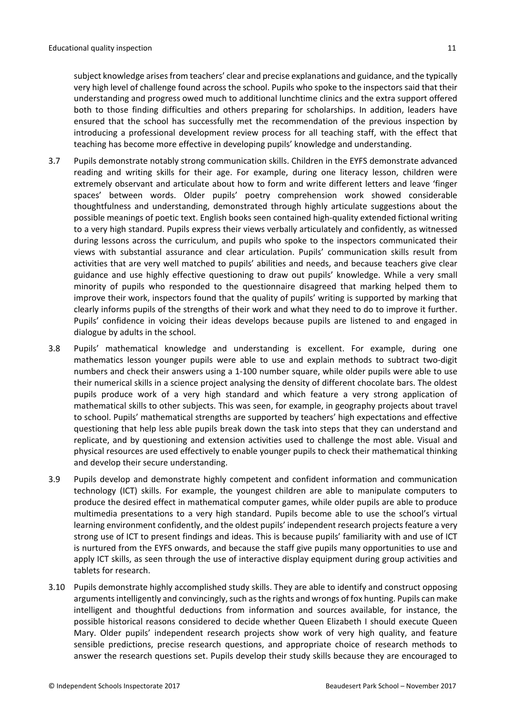subject knowledge arises from teachers' clear and precise explanations and guidance, and the typically very high level of challenge found across the school. Pupils who spoke to the inspectors said that their understanding and progress owed much to additional lunchtime clinics and the extra support offered both to those finding difficulties and others preparing for scholarships. In addition, leaders have ensured that the school has successfully met the recommendation of the previous inspection by introducing a professional development review process for all teaching staff, with the effect that teaching has become more effective in developing pupils' knowledge and understanding.

- 3.7 Pupils demonstrate notably strong communication skills. Children in the EYFS demonstrate advanced reading and writing skills for their age. For example, during one literacy lesson, children were extremely observant and articulate about how to form and write different letters and leave 'finger spaces' between words. Older pupils' poetry comprehension work showed considerable thoughtfulness and understanding, demonstrated through highly articulate suggestions about the possible meanings of poetic text. English books seen contained high-quality extended fictional writing to a very high standard. Pupils express their views verbally articulately and confidently, as witnessed during lessons across the curriculum, and pupils who spoke to the inspectors communicated their views with substantial assurance and clear articulation. Pupils' communication skills result from activities that are very well matched to pupils' abilities and needs, and because teachers give clear guidance and use highly effective questioning to draw out pupils' knowledge. While a very small minority of pupils who responded to the questionnaire disagreed that marking helped them to improve their work, inspectors found that the quality of pupils' writing is supported by marking that clearly informs pupils of the strengths of their work and what they need to do to improve it further. Pupils' confidence in voicing their ideas develops because pupils are listened to and engaged in dialogue by adults in the school.
- 3.8 Pupils' mathematical knowledge and understanding is excellent. For example, during one mathematics lesson younger pupils were able to use and explain methods to subtract two-digit numbers and check their answers using a 1-100 number square, while older pupils were able to use their numerical skills in a science project analysing the density of different chocolate bars. The oldest pupils produce work of a very high standard and which feature a very strong application of mathematical skills to other subjects. This was seen, for example, in geography projects about travel to school. Pupils' mathematical strengths are supported by teachers' high expectations and effective questioning that help less able pupils break down the task into steps that they can understand and replicate, and by questioning and extension activities used to challenge the most able. Visual and physical resources are used effectively to enable younger pupils to check their mathematical thinking and develop their secure understanding.
- 3.9 Pupils develop and demonstrate highly competent and confident information and communication technology (ICT) skills. For example, the youngest children are able to manipulate computers to produce the desired effect in mathematical computer games, while older pupils are able to produce multimedia presentations to a very high standard. Pupils become able to use the school's virtual learning environment confidently, and the oldest pupils' independent research projects feature a very strong use of ICT to present findings and ideas. This is because pupils' familiarity with and use of ICT is nurtured from the EYFS onwards, and because the staff give pupils many opportunities to use and apply ICT skills, as seen through the use of interactive display equipment during group activities and tablets for research.
- 3.10 Pupils demonstrate highly accomplished study skills. They are able to identify and construct opposing arguments intelligently and convincingly, such as the rights and wrongs of fox hunting. Pupils can make intelligent and thoughtful deductions from information and sources available, for instance, the possible historical reasons considered to decide whether Queen Elizabeth I should execute Queen Mary. Older pupils' independent research projects show work of very high quality, and feature sensible predictions, precise research questions, and appropriate choice of research methods to answer the research questions set. Pupils develop their study skills because they are encouraged to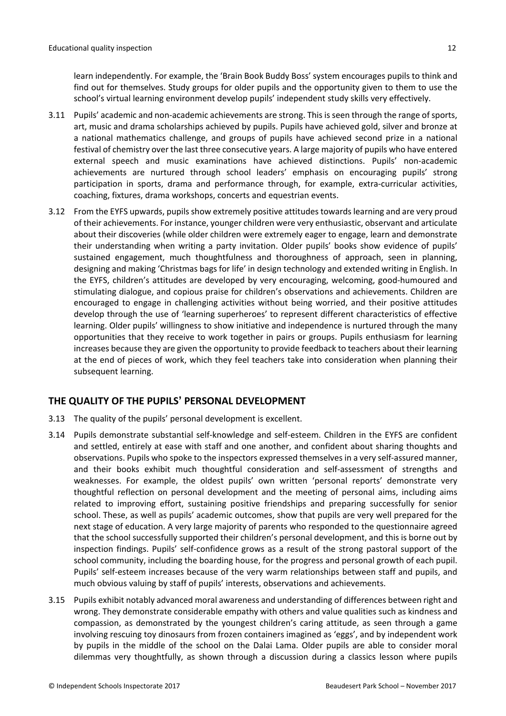learn independently. For example, the 'Brain Book Buddy Boss' system encourages pupils to think and find out for themselves. Study groups for older pupils and the opportunity given to them to use the school's virtual learning environment develop pupils' independent study skills very effectively.

- 3.11 Pupils' academic and non-academic achievements are strong. Thisisseen through the range ofsports, art, music and drama scholarships achieved by pupils. Pupils have achieved gold, silver and bronze at a national mathematics challenge, and groups of pupils have achieved second prize in a national festival of chemistry over the last three consecutive years. A large majority of pupils who have entered external speech and music examinations have achieved distinctions. Pupils' non-academic achievements are nurtured through school leaders' emphasis on encouraging pupils' strong participation in sports, drama and performance through, for example, extra-curricular activities, coaching, fixtures, drama workshops, concerts and equestrian events.
- 3.12 From the EYFS upwards, pupils show extremely positive attitudes towards learning and are very proud of their achievements. For instance, younger children were very enthusiastic, observant and articulate about their discoveries (while older children were extremely eager to engage, learn and demonstrate their understanding when writing a party invitation. Older pupils' books show evidence of pupils' sustained engagement, much thoughtfulness and thoroughness of approach, seen in planning, designing and making 'Christmas bags for life' in design technology and extended writing in English. In the EYFS, children's attitudes are developed by very encouraging, welcoming, good-humoured and stimulating dialogue, and copious praise for children's observations and achievements. Children are encouraged to engage in challenging activities without being worried, and their positive attitudes develop through the use of 'learning superheroes' to represent different characteristics of effective learning. Older pupils' willingness to show initiative and independence is nurtured through the many opportunities that they receive to work together in pairs or groups. Pupils enthusiasm for learning increases because they are given the opportunity to provide feedback to teachers about their learning at the end of pieces of work, which they feel teachers take into consideration when planning their subsequent learning.

## <span id="page-11-0"></span>**THE QUALITY OF THE PUPILS' PERSONAL DEVELOPMENT**

- 3.13 The quality of the pupils' personal development is excellent.
- 3.14 Pupils demonstrate substantial self-knowledge and self-esteem. Children in the EYFS are confident and settled, entirely at ease with staff and one another, and confident about sharing thoughts and observations. Pupils who spoke to the inspectors expressed themselves in a very self-assured manner, and their books exhibit much thoughtful consideration and self-assessment of strengths and weaknesses. For example, the oldest pupils' own written 'personal reports' demonstrate very thoughtful reflection on personal development and the meeting of personal aims, including aims related to improving effort, sustaining positive friendships and preparing successfully for senior school. These, as well as pupils' academic outcomes, show that pupils are very well prepared for the next stage of education. A very large majority of parents who responded to the questionnaire agreed that the school successfully supported their children's personal development, and this is borne out by inspection findings. Pupils' self-confidence grows as a result of the strong pastoral support of the school community, including the boarding house, for the progress and personal growth of each pupil. Pupils' self-esteem increases because of the very warm relationships between staff and pupils, and much obvious valuing by staff of pupils' interests, observations and achievements.
- 3.15 Pupils exhibit notably advanced moral awareness and understanding of differences between right and wrong. They demonstrate considerable empathy with others and value qualities such as kindness and compassion, as demonstrated by the youngest children's caring attitude, as seen through a game involving rescuing toy dinosaurs from frozen containers imagined as 'eggs', and by independent work by pupils in the middle of the school on the Dalai Lama. Older pupils are able to consider moral dilemmas very thoughtfully, as shown through a discussion during a classics lesson where pupils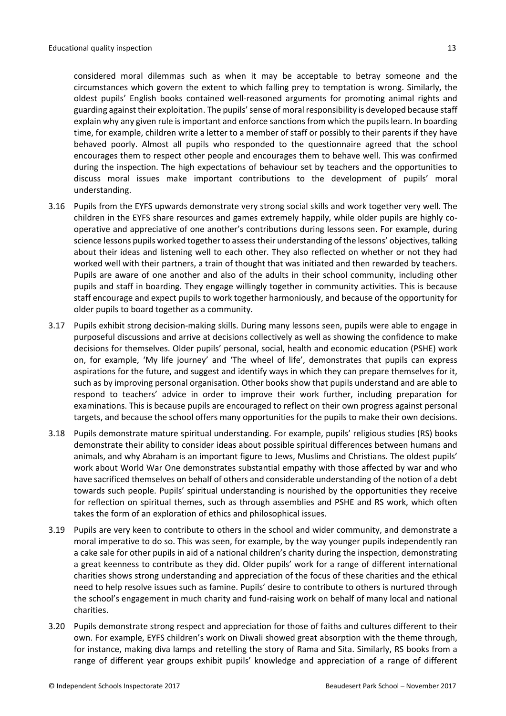considered moral dilemmas such as when it may be acceptable to betray someone and the circumstances which govern the extent to which falling prey to temptation is wrong. Similarly, the oldest pupils' English books contained well-reasoned arguments for promoting animal rights and guarding against their exploitation. The pupils' sense of moral responsibility is developed because staff explain why any given rule is important and enforce sanctions from which the pupils learn. In boarding time, for example, children write a letter to a member of staff or possibly to their parents if they have behaved poorly. Almost all pupils who responded to the questionnaire agreed that the school encourages them to respect other people and encourages them to behave well. This was confirmed during the inspection. The high expectations of behaviour set by teachers and the opportunities to discuss moral issues make important contributions to the development of pupils' moral understanding.

- 3.16 Pupils from the EYFS upwards demonstrate very strong social skills and work together very well. The children in the EYFS share resources and games extremely happily, while older pupils are highly cooperative and appreciative of one another's contributions during lessons seen. For example, during science lessons pupils worked together to assesstheir understanding of the lessons' objectives, talking about their ideas and listening well to each other. They also reflected on whether or not they had worked well with their partners, a train of thought that was initiated and then rewarded by teachers. Pupils are aware of one another and also of the adults in their school community, including other pupils and staff in boarding. They engage willingly together in community activities. This is because staff encourage and expect pupils to work together harmoniously, and because of the opportunity for older pupils to board together as a community.
- 3.17 Pupils exhibit strong decision-making skills. During many lessons seen, pupils were able to engage in purposeful discussions and arrive at decisions collectively as well as showing the confidence to make decisions for themselves. Older pupils' personal, social, health and economic education (PSHE) work on, for example, 'My life journey' and 'The wheel of life', demonstrates that pupils can express aspirations for the future, and suggest and identify ways in which they can prepare themselves for it, such as by improving personal organisation. Other books show that pupils understand and are able to respond to teachers' advice in order to improve their work further, including preparation for examinations. This is because pupils are encouraged to reflect on their own progress against personal targets, and because the school offers many opportunities for the pupils to make their own decisions.
- 3.18 Pupils demonstrate mature spiritual understanding. For example, pupils' religious studies (RS) books demonstrate their ability to consider ideas about possible spiritual differences between humans and animals, and why Abraham is an important figure to Jews, Muslims and Christians. The oldest pupils' work about World War One demonstrates substantial empathy with those affected by war and who have sacrificed themselves on behalf of others and considerable understanding of the notion of a debt towards such people. Pupils' spiritual understanding is nourished by the opportunities they receive for reflection on spiritual themes, such as through assemblies and PSHE and RS work, which often takes the form of an exploration of ethics and philosophical issues.
- 3.19 Pupils are very keen to contribute to others in the school and wider community, and demonstrate a moral imperative to do so. This was seen, for example, by the way younger pupils independently ran a cake sale for other pupils in aid of a national children's charity during the inspection, demonstrating a great keenness to contribute as they did. Older pupils' work for a range of different international charities shows strong understanding and appreciation of the focus of these charities and the ethical need to help resolve issues such as famine. Pupils' desire to contribute to others is nurtured through the school's engagement in much charity and fund-raising work on behalf of many local and national charities.
- 3.20 Pupils demonstrate strong respect and appreciation for those of faiths and cultures different to their own. For example, EYFS children's work on Diwali showed great absorption with the theme through, for instance, making diva lamps and retelling the story of Rama and Sita. Similarly, RS books from a range of different year groups exhibit pupils' knowledge and appreciation of a range of different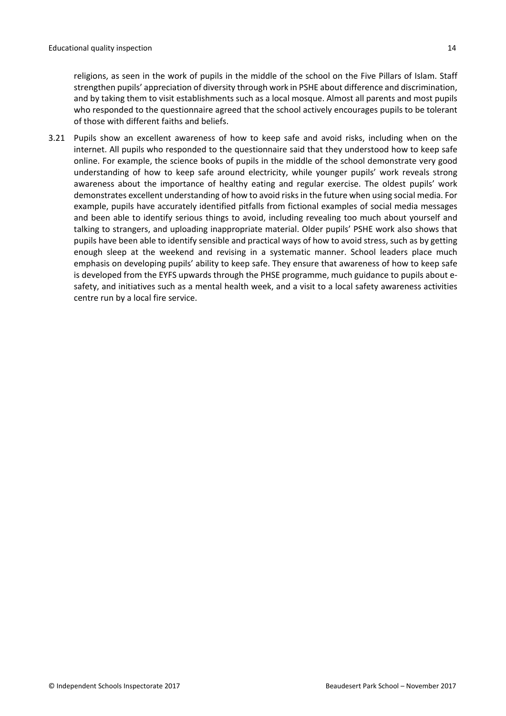religions, as seen in the work of pupils in the middle of the school on the Five Pillars of Islam. Staff strengthen pupils' appreciation of diversity through work in PSHE about difference and discrimination, and by taking them to visit establishments such as a local mosque. Almost all parents and most pupils who responded to the questionnaire agreed that the school actively encourages pupils to be tolerant of those with different faiths and beliefs.

3.21 Pupils show an excellent awareness of how to keep safe and avoid risks, including when on the internet. All pupils who responded to the questionnaire said that they understood how to keep safe online. For example, the science books of pupils in the middle of the school demonstrate very good understanding of how to keep safe around electricity, while younger pupils' work reveals strong awareness about the importance of healthy eating and regular exercise. The oldest pupils' work demonstrates excellent understanding of how to avoid risksin the future when using social media. For example, pupils have accurately identified pitfalls from fictional examples of social media messages and been able to identify serious things to avoid, including revealing too much about yourself and talking to strangers, and uploading inappropriate material. Older pupils' PSHE work also shows that pupils have been able to identify sensible and practical ways of how to avoid stress, such as by getting enough sleep at the weekend and revising in a systematic manner. School leaders place much emphasis on developing pupils' ability to keep safe. They ensure that awareness of how to keep safe is developed from the EYFS upwards through the PHSE programme, much guidance to pupils about esafety, and initiatives such as a mental health week, and a visit to a local safety awareness activities centre run by a local fire service.